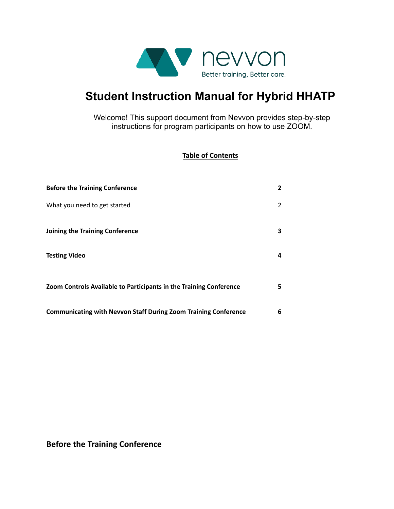

# **Student Instruction Manual for Hybrid HHATP**

Welcome! This support document from Nevvon provides step-by-step instructions for program participants on how to use ZOOM.

## **Table of Contents**

| <b>Before the Training Conference</b>                                  | $\mathbf{2}$ |
|------------------------------------------------------------------------|--------------|
| What you need to get started                                           | 2            |
| Joining the Training Conference                                        | 3.           |
| <b>Testing Video</b>                                                   | 4            |
| Zoom Controls Available to Participants in the Training Conference     | 5.           |
| <b>Communicating with Nevvon Staff During Zoom Training Conference</b> | 6            |

**Before the Training Conference**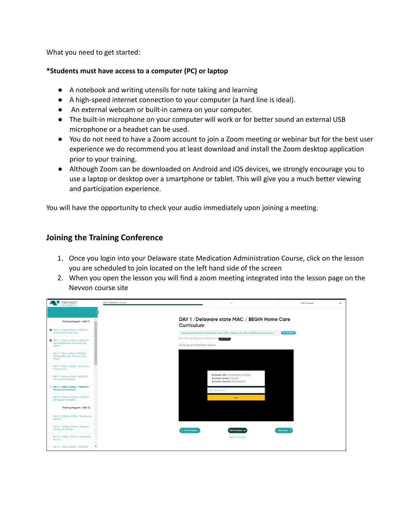What you need to get started:

#### **\*Students must have access to a computer (PC) or laptop**

- A notebook and writing utensils for note taking and learning
- A high-speed internet connection to your computer (a hard line is ideal).
- An external webcam or built-in camera on your computer.
- The built-in microphone on your computer will work or for better sound an external USB microphone or a headset can be used.
- You do not need to have a Zoom account to join a Zoom meeting or webinar but for the best user experience we do recommend you at least download and install the Zoom desktop application prior to your training.
- Although Zoom can be downloaded on Android and iOS devices, we strongly encourage you to use a laptop or desktop over a smartphone or tablet. This will give you a much better viewing and participation experience.

You will have the opportunity to check your audio immediately upon joining a meeting.

## **Joining the Training Conference**

- 1. Once you login into your Delaware state Medication Administration Course, click on the lesson you are scheduled to join located on the left hand side of the screen
- 2. When you open the lesson you will find a zoom meeting integrated into the lesson page on the Nevvon course site

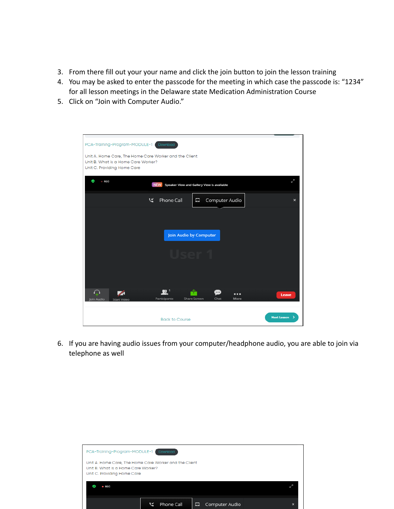- 3. From there fill out your your name and click the join button to join the lesson training
- 4. You may be asked to enter the passcode for the meeting in which case the passcode is: "1234" for all lesson meetings in the Delaware state Medication Administration Course
- 5. Click on "Join with Computer Audio."

| PCA-Training-Program-MODULE-1                                                                                                | Download                       |                                                             |                           |  |  |
|------------------------------------------------------------------------------------------------------------------------------|--------------------------------|-------------------------------------------------------------|---------------------------|--|--|
| Unit A. Home Care, The Home Care Worker and the Client<br>Unit B. What is a Home Care Worker?<br>Unit C. Providing Home Care |                                |                                                             |                           |  |  |
| Ø<br><b>REC</b><br><b>NEW</b><br>Speaker View and Gallery View is available                                                  |                                |                                                             | مس                        |  |  |
| ビ                                                                                                                            | Phone Call                     | Computer Audio<br>Ц                                         | $\boldsymbol{\mathsf{x}}$ |  |  |
|                                                                                                                              |                                |                                                             |                           |  |  |
|                                                                                                                              |                                | Join Audio by Computer                                      |                           |  |  |
|                                                                                                                              |                                |                                                             |                           |  |  |
|                                                                                                                              |                                |                                                             |                           |  |  |
| ∩<br>Join Audio<br><b>Start Video</b>                                                                                        | $\mathbf{R}^+$<br>Participants | $\cdots$<br>$\cdots$<br><b>Share Screen</b><br>Chat<br>More | Leave                     |  |  |
|                                                                                                                              | <b>Back to Course</b>          |                                                             | <b>Next Lesson</b>        |  |  |

6. If you are having audio issues from your computer/headphone audio, you are able to join via telephone as well

| PCA-Training-Program-MODULE-1                                      | Download                                               |                     |   |
|--------------------------------------------------------------------|--------------------------------------------------------|---------------------|---|
| Unit B. What is a Home Care Worker?<br>Unit C. Providing Home Care | Unit A. Home Care, The Home Care Worker and the Client |                     |   |
| $\bullet$ REC                                                      |                                                        |                     |   |
|                                                                    | Phone Call                                             | Computer Audio<br>▭ | × |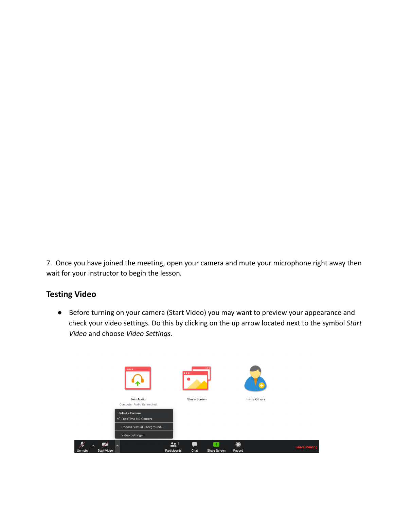7. Once you have joined the meeting, open your camera and mute your microphone right away then wait for your instructor to begin the lesson*.*

## **Testing Video**

● Before turning on your camera (Start Video) you may want to preview your appearance and check your video settings. Do this by clicking on the up arrow located next to the symbol *Start Video* and choose *Video Settings.*

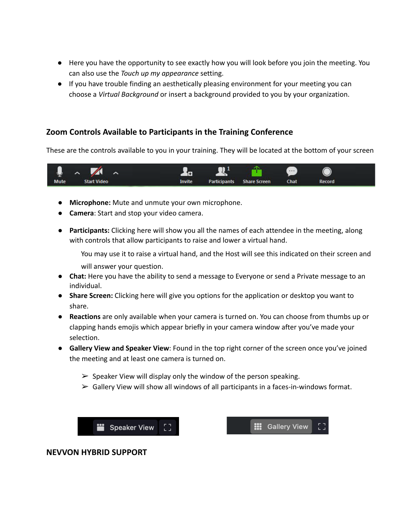- Here you have the opportunity to see exactly how you will look before you join the meeting. You can also use the *Touch up my appearance* setting.
- If you have trouble finding an aesthetically pleasing environment for your meeting you can choose a *Virtual Background* or insert a background provided to you by your organization.

## **Zoom Controls Available to Participants in the Training Conference**

These are the controls available to you in your training. They will be located at the bottom of your screen



- **Microphone:** Mute and unmute your own microphone.
- **Camera**: Start and stop your video camera.
- **Participants:** Clicking here will show you all the names of each attendee in the meeting, along with controls that allow participants to raise and lower a virtual hand.

You may use it to raise a virtual hand, and the Host will see this indicated on their screen and will answer your question.

- Chat: Here you have the ability to send a message to Everyone or send a Private message to an individual.
- **Share Screen:** Clicking here will give you options for the application or desktop you want to share.
- **Reactions** are only available when your camera is turned on. You can choose from thumbs up or clapping hands emojis which appear briefly in your camera window after you've made your selection.
- **Gallery View and Speaker View**: Found in the top right corner of the screen once you've joined the meeting and at least one camera is turned on.
	- $\triangleright$  Speaker View will display only the window of the person speaking.
	- $\triangleright$  Gallery View will show all windows of all participants in a faces-in-windows format.



**:::** Gallery View

#### **NEVVON HYBRID SUPPORT**